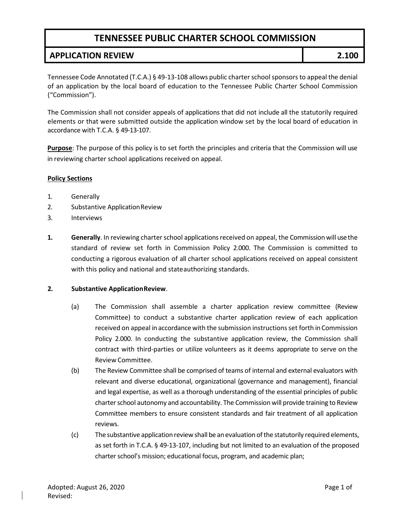## **TENNESSEE PUBLIC CHARTER SCHOOL COMMISSION**

### **APPLICATION REVIEW 2.100**

Tennessee Code Annotated (T.C.A.) § 49-13-108 allows public charterschoolsponsorsto appeal the denial of an application by the local board of education to the Tennessee Public Charter School Commission ("Commission").

The Commission shall not consider appeals of applications that did not include all the statutorily required elements or that were submitted outside the application window set by the local board of education in accordance with T.C.A. § 49-13-107.

**Purpose**: The purpose of this policy is to set forth the principles and criteria that the Commission will use in reviewing charter school applications received on appeal.

#### **Policy Sections**

- 1. Generally
- 2. Substantive ApplicationReview
- 3. Interviews
- **1. Generally**. In reviewing charter school applications received on appeal, the Commission will use the standard of review set forth in Commission Policy 2.000. The Commission is committed to conducting a rigorous evaluation of all charter school applications received on appeal consistent with this policy and national and stateauthorizing standards.

#### **2. Substantive ApplicationReview**.

- (a) The Commission shall assemble a charter application review committee (Review Committee) to conduct a substantive charter application review of each application received on appeal in accordance with the submission instructions set forth in Commission Policy 2.000. In conducting the substantive application review, the Commission shall contract with third-parties or utilize volunteers as it deems appropriate to serve on the Review Committee.
- (b) The Review Committee shall be comprised of teams of internal and external evaluators with relevant and diverse educational, organizational (governance and management), financial and legal expertise, as well as a thorough understanding of the essential principles of public charter school autonomy and accountability. The Commission will provide training to Review Committee members to ensure consistent standards and fair treatment of all application reviews.
- (c) The substantive application review shall be an evaluation of the statutorily required elements, as set forth in T.C.A. § 49-13-107, including but not limited to an evaluation of the proposed charter school's mission; educational focus, program, and academic plan;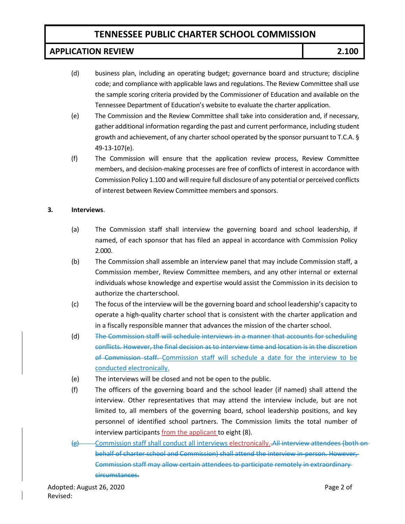# **TENNESSEE PUBLIC CHARTER SCHOOL COMMISSION**

### **APPLICATION REVIEW 2.100**

- (d) business plan, including an operating budget; governance board and structure; discipline code; and compliance with applicable laws and regulations. The Review Committee shall use the sample scoring criteria provided by the Commissioner of Education and available on the Tennessee Department of Education's website to evaluate the charter application.
- (e) The Commission and the Review Committee shall take into consideration and, if necessary, gather additional information regarding the past and current performance, including student growth and achievement, of any charter school operated by the sponsor pursuant to T.C.A. § 49-13-107(e).
- (f) The Commission will ensure that the application review process, Review Committee members, and decision-making processes are free of conflicts of interest in accordance with Commission Policy 1.100 and willrequire full disclosure of any potential or perceived conflicts of interest between Review Committee members and sponsors.

### **3. Interviews**.

- (a) The Commission staff shall interview the governing board and school leadership, if named, of each sponsor that has filed an appeal in accordance with Commission Policy 2.000.
- (b) The Commission shall assemble an interview panel that may include Commission staff, a Commission member, Review Committee members, and any other internal or external individuals whose knowledge and expertise would assist the Commission in its decision to authorize the charterschool.
- (c) The focus of the interview will be the governing board and school leadership's capacity to operate a high-quality charter school that is consistent with the charter application and in a fiscally responsible manner that advances the mission of the charter school.
- (d) The Commission staff will schedule interviews in a manner that accounts for scheduling conflicts. However, the final decision as to interview time and location is in the discretion of Commission staff. Commission staff will schedule a date for the interview to be conducted electronically.
- (e) The interviews will be closed and not be open to the public.
- (f) The officers of the governing board and the school leader (if named) shall attend the interview. Other representatives that may attend the interview include, but are not limited to, all members of the governing board, school leadership positions, and key personnel of identified school partners. The Commission limits the total number of interview participants from the applicant to eight (8).
- (g) Commission staff shall conduct all interviews electronically..All interview attendees (both onbehalf of charter school and Commission) shall attend the interview in-person. However, Commission staff may allow certain attendees to participate remotely in extraordinary circumstances.